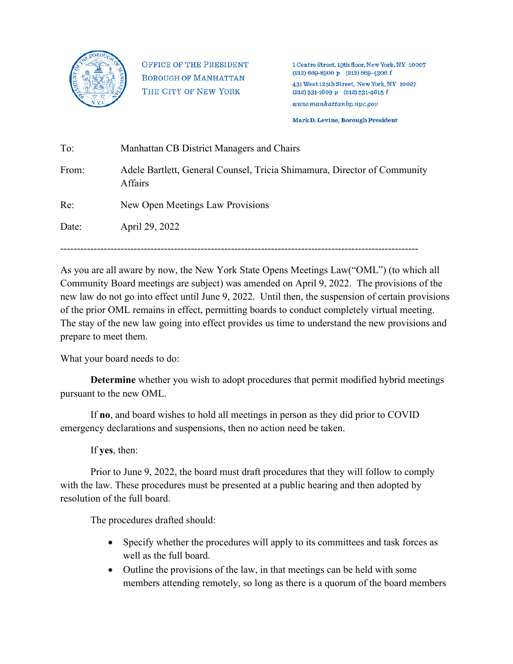

**OFFICE OF THE PRESIDENT BOROUGH OF MANHATTAN** THE CITY OF NEW YORK

1 Centre Street, 19th floor, New York, NY 10007  $(212) 669 - 8300 p$   $(212) 669 - 4306 f$ 431 West 125th Street, New York, NY 10027  $(212) 531 - 1609 p$  (212) 531-4615 f  $www.mankat tanbp.nyc.gov$ 

Mark D. Levine, Borough President

| Manhattan CB District Managers and Chairs                                           |
|-------------------------------------------------------------------------------------|
| Adele Bartlett, General Counsel, Tricia Shimamura, Director of Community<br>Affairs |
| New Open Meetings Law Provisions                                                    |
| April 29, 2022                                                                      |
|                                                                                     |

-----------------------------------------------------------------------------------------------------------

As you are all aware by now, the New York State Opens Meetings Law("OML") (to which all Community Board meetings are subject) was amended on April 9, 2022. The provisions of the new law do not go into effect until June 9, 2022. Until then, the suspension of certain provisions of the prior OML remains in effect, permitting boards to conduct completely virtual meeting. The stay of the new law going into effect provides us time to understand the new provisions and prepare to meet them.

What your board needs to do:

**Determine** whether you wish to adopt procedures that permit modified hybrid meetings pursuant to the new OML.

If **no**, and board wishes to hold all meetings in person as they did prior to COVID emergency declarations and suspensions, then no action need be taken.

If **yes**, then:

Prior to June 9, 2022, the board must draft procedures that they will follow to comply with the law. These procedures must be presented at a public hearing and then adopted by resolution of the full board.

The procedures drafted should:

- Specify whether the procedures will apply to its committees and task forces as well as the full board.
- Outline the provisions of the law, in that meetings can be held with some members attending remotely, so long as there is a quorum of the board members